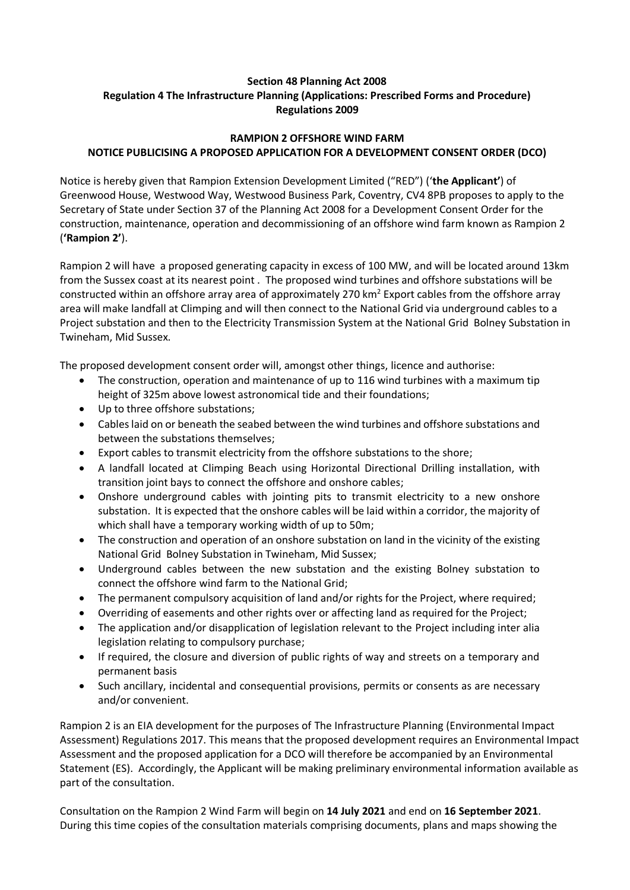## **Section 48 Planning Act 2008 Regulation 4 The Infrastructure Planning (Applications: Prescribed Forms and Procedure) Regulations 2009**

## **RAMPION 2 OFFSHORE WIND FARM NOTICE PUBLICISING A PROPOSED APPLICATION FOR A DEVELOPMENT CONSENT ORDER (DCO)**

Notice is hereby given that Rampion Extension Development Limited ("RED") ('**the Applicant'**) of Greenwood House, Westwood Way, Westwood Business Park, Coventry, CV4 8PB proposes to apply to the Secretary of State under Section 37 of the Planning Act 2008 for a Development Consent Order for the construction, maintenance, operation and decommissioning of an offshore wind farm known as Rampion 2 (**'Rampion 2'**).

Rampion 2 will have a proposed generating capacity in excess of 100 MW, and will be located around 13km from the Sussex coast at its nearest point . The proposed wind turbines and offshore substations will be constructed within an offshore array area of approximately 270 km<sup>2</sup> Export cables from the offshore array area will make landfall at Climping and will then connect to the National Grid via underground cables to a Project substation and then to the Electricity Transmission System at the National Grid Bolney Substation in Twineham, Mid Sussex.

The proposed development consent order will, amongst other things, licence and authorise:

- The construction, operation and maintenance of up to 116 wind turbines with a maximum tip height of 325m above lowest astronomical tide and their foundations;
- Up to three offshore substations;
- Cables laid on or beneath the seabed between the wind turbines and offshore substations and between the substations themselves;
- Export cables to transmit electricity from the offshore substations to the shore;
- A landfall located at Climping Beach using Horizontal Directional Drilling installation, with transition joint bays to connect the offshore and onshore cables;
- Onshore underground cables with jointing pits to transmit electricity to a new onshore substation. It is expected that the onshore cables will be laid within a corridor, the majority of which shall have a temporary working width of up to 50m;
- The construction and operation of an onshore substation on land in the vicinity of the existing National Grid Bolney Substation in Twineham, Mid Sussex;
- Underground cables between the new substation and the existing Bolney substation to connect the offshore wind farm to the National Grid;
- The permanent compulsory acquisition of land and/or rights for the Project, where required;
- Overriding of easements and other rights over or affecting land as required for the Project;
- The application and/or disapplication of legislation relevant to the Project including inter alia legislation relating to compulsory purchase;
- If required, the closure and diversion of public rights of way and streets on a temporary and permanent basis
- Such ancillary, incidental and consequential provisions, permits or consents as are necessary and/or convenient.

Rampion 2 is an EIA development for the purposes of The Infrastructure Planning (Environmental Impact Assessment) Regulations 2017. This means that the proposed development requires an Environmental Impact Assessment and the proposed application for a DCO will therefore be accompanied by an Environmental Statement (ES). Accordingly, the Applicant will be making preliminary environmental information available as part of the consultation.

Consultation on the Rampion 2 Wind Farm will begin on **14 July 2021** and end on **16 September 2021**. During this time copies of the consultation materials comprising documents, plans and maps showing the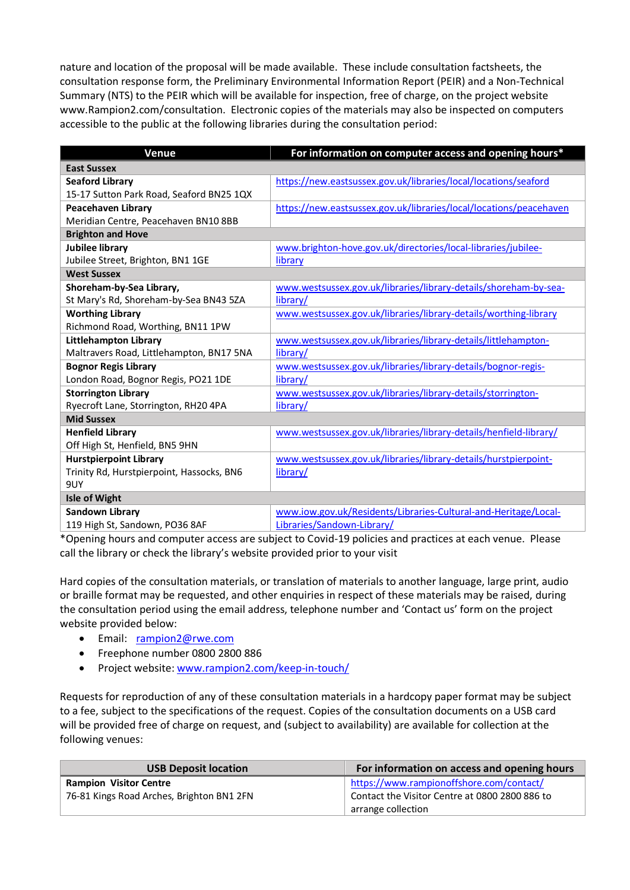nature and location of the proposal will be made available. These include consultation factsheets, the consultation response form, the Preliminary Environmental Information Report (PEIR) and a Non-Technical Summary (NTS) to the PEIR which will be available for inspection, free of charge, on the project website www.Rampion2.com/consultation. Electronic copies of the materials may also be inspected on computers accessible to the public at the following libraries during the consultation period:

| <b>Venue</b>                              | For information on computer access and opening hours*              |  |
|-------------------------------------------|--------------------------------------------------------------------|--|
| <b>East Sussex</b>                        |                                                                    |  |
| <b>Seaford Library</b>                    | https://new.eastsussex.gov.uk/libraries/local/locations/seaford    |  |
| 15-17 Sutton Park Road, Seaford BN25 1QX  |                                                                    |  |
| <b>Peacehaven Library</b>                 | https://new.eastsussex.gov.uk/libraries/local/locations/peacehaven |  |
| Meridian Centre, Peacehaven BN10 8BB      |                                                                    |  |
| <b>Brighton and Hove</b>                  |                                                                    |  |
| <b>Jubilee library</b>                    | www.brighton-hove.gov.uk/directories/local-libraries/jubilee-      |  |
| Jubilee Street, Brighton, BN1 1GE         | library                                                            |  |
| <b>West Sussex</b>                        |                                                                    |  |
| Shoreham-by-Sea Library,                  | www.westsussex.gov.uk/libraries/library-details/shoreham-by-sea-   |  |
| St Mary's Rd, Shoreham-by-Sea BN43 5ZA    | library/                                                           |  |
| <b>Worthing Library</b>                   | www.westsussex.gov.uk/libraries/library-details/worthing-library   |  |
| Richmond Road, Worthing, BN11 1PW         |                                                                    |  |
| <b>Littlehampton Library</b>              | www.westsussex.gov.uk/libraries/library-details/littlehampton-     |  |
| Maltravers Road, Littlehampton, BN17 5NA  | library/                                                           |  |
| <b>Bognor Regis Library</b>               | www.westsussex.gov.uk/libraries/library-details/bognor-regis-      |  |
| London Road, Bognor Regis, PO21 1DE       | library/                                                           |  |
| <b>Storrington Library</b>                | www.westsussex.gov.uk/libraries/library-details/storrington-       |  |
| Ryecroft Lane, Storrington, RH20 4PA      | library/                                                           |  |
| <b>Mid Sussex</b>                         |                                                                    |  |
| <b>Henfield Library</b>                   | www.westsussex.gov.uk/libraries/library-details/henfield-library/  |  |
| Off High St, Henfield, BN5 9HN            |                                                                    |  |
| <b>Hurstpierpoint Library</b>             | www.westsussex.gov.uk/libraries/library-details/hurstpierpoint-    |  |
| Trinity Rd, Hurstpierpoint, Hassocks, BN6 | library/                                                           |  |
| 9UY                                       |                                                                    |  |
| <b>Isle of Wight</b>                      |                                                                    |  |
| Sandown Library                           | www.iow.gov.uk/Residents/Libraries-Cultural-and-Heritage/Local-    |  |
| 119 High St, Sandown, PO36 8AF            | Libraries/Sandown-Library/                                         |  |

\*Opening hours and computer access are subject to Covid-19 policies and practices at each venue. Please call the library or check the library's website provided prior to your visit

Hard copies of the consultation materials, or translation of materials to another language, large print, audio or braille format may be requested, and other enquiries in respect of these materials may be raised, during the consultation period using the email address, telephone number and 'Contact us' form on the project website provided below:

- Email: [rampion2@rwe.com](mailto:rampion2@rwe.com)
- Freephone number 0800 2800 886
- Project website[: www.rampion2.com/keep-in-touch/](http://www.rampion2.com/keep-in-touch/)

Requests for reproduction of any of these consultation materials in a hardcopy paper format may be subject to a fee, subject to the specifications of the request. Copies of the consultation documents on a USB card will be provided free of charge on request, and (subject to availability) are available for collection at the following venues:

| <b>USB Deposit location</b>               | For information on access and opening hours    |
|-------------------------------------------|------------------------------------------------|
| <b>Rampion Visitor Centre</b>             | https://www.rampionoffshore.com/contact/       |
| 76-81 Kings Road Arches, Brighton BN1 2FN | Contact the Visitor Centre at 0800 2800 886 to |
|                                           | arrange collection                             |